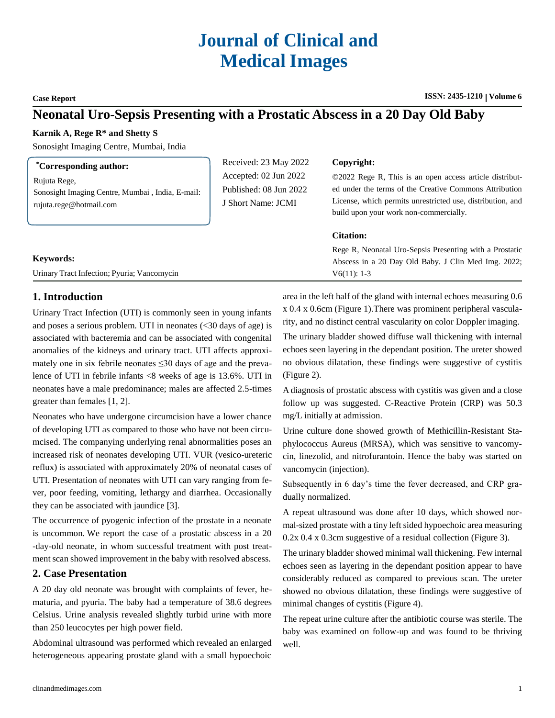# **Journal of Clinical and Medical Images**

**Case Report ISSN: 2435-1210 ISSN: 2435-1210 | Volume 6** 

## **Neonatal Uro-Sepsis Presenting with a Prostatic Abscess in a 20 Day Old Baby**

#### **Karnik A, Rege R\* and Shetty S**

Sonosight Imaging Centre, Mumbai, India

| <i>Corresponding author:</i>                                                                | Received: 23 May 2022                                                 | Copyright:                                                                                                                                                                                                                |
|---------------------------------------------------------------------------------------------|-----------------------------------------------------------------------|---------------------------------------------------------------------------------------------------------------------------------------------------------------------------------------------------------------------------|
| Rujuta Rege,<br>Sonosight Imaging Centre, Mumbai, India, E-mail:<br>rujuta.rege@hotmail.com | Accepted: 02 Jun 2022<br>Published: 08 Jun 2022<br>J Short Name: JCMI | ©2022 Rege R, This is an open access article distribut-<br>ed under the terms of the Creative Commons Attribution<br>License, which permits unrestricted use, distribution, and<br>build upon your work non-commercially. |
|                                                                                             |                                                                       | <b>Citation:</b>                                                                                                                                                                                                          |
|                                                                                             |                                                                       | Rege R, Neonatal Uro-Sepsis Presenting with a Prostatic                                                                                                                                                                   |
| <b>Keywords:</b>                                                                            |                                                                       | Abscess in a 20 Day Old Baby. J Clin Med Img. 2022;                                                                                                                                                                       |
| Urinary Tract Infection; Pyuria; Vancomycin                                                 |                                                                       | $V6(11): 1-3$                                                                                                                                                                                                             |

### **1. Introduction**

Urinary Tract Infection (UTI) is commonly seen in young infants and poses a serious problem. UTI in neonates (<30 days of age) is associated with bacteremia and can be associated with congenital anomalies of the kidneys and urinary tract. UTI affects approximately one in six febrile neonates  $\leq 30$  days of age and the prevalence of UTI in febrile infants <8 weeks of age is 13.6%. UTI in neonates have a male predominance; males are affected 2.5-times greater than females [1, 2].

Neonates who have undergone circumcision have a lower chance of developing UTI as compared to those who have not been circumcised. The companying underlying renal abnormalities poses an increased risk of neonates developing UTI. VUR (vesico-ureteric reflux) is associated with approximately 20% of neonatal cases of UTI. Presentation of neonates with UTI can vary ranging from fever, poor feeding, vomiting, lethargy and diarrhea. Occasionally they can be associated with jaundice [3].

The occurrence of pyogenic infection of the prostate in a neonate is uncommon. We report the case of a prostatic abscess in a 20 -day-old neonate, in whom successful treatment with post treatment scan showed improvement in the baby with resolved abscess.

#### **2. Case Presentation**

A 20 day old neonate was brought with complaints of fever, hematuria, and pyuria. The baby had a temperature of 38.6 degrees Celsius. Urine analysis revealed slightly turbid urine with more than 250 leucocytes per high power field.

Abdominal ultrasound was performed which revealed an enlarged heterogeneous appearing prostate gland with a small hypoechoic

area in the left half of the gland with internal echoes measuring 0.6 x 0.4 x 0.6cm (Figure 1).There was prominent peripheral vascularity, and no distinct central vascularity on color Doppler imaging.

The urinary bladder showed diffuse wall thickening with internal echoes seen layering in the dependant position. The ureter showed no obvious dilatation, these findings were suggestive of cystitis (Figure 2).

A diagnosis of prostatic abscess with cystitis was given and a close follow up was suggested. C-Reactive Protein (CRP) was 50.3 mg/L initially at admission.

Urine culture done showed growth of Methicillin-Resistant Staphylococcus Aureus (MRSA), which was sensitive to vancomycin, linezolid, and nitrofurantoin. Hence the baby was started on vancomycin (injection).

Subsequently in 6 day's time the fever decreased, and CRP gradually normalized.

A repeat ultrasound was done after 10 days, which showed normal-sized prostate with a tiny left sided hypoechoic area measuring 0.2x 0.4 x 0.3cm suggestive of a residual collection (Figure 3).

The urinary bladder showed minimal wall thickening. Few internal echoes seen as layering in the dependant position appear to have considerably reduced as compared to previous scan. The ureter showed no obvious dilatation, these findings were suggestive of minimal changes of cystitis (Figure 4).

The repeat urine culture after the antibiotic course was sterile. The baby was examined on follow-up and was found to be thriving well.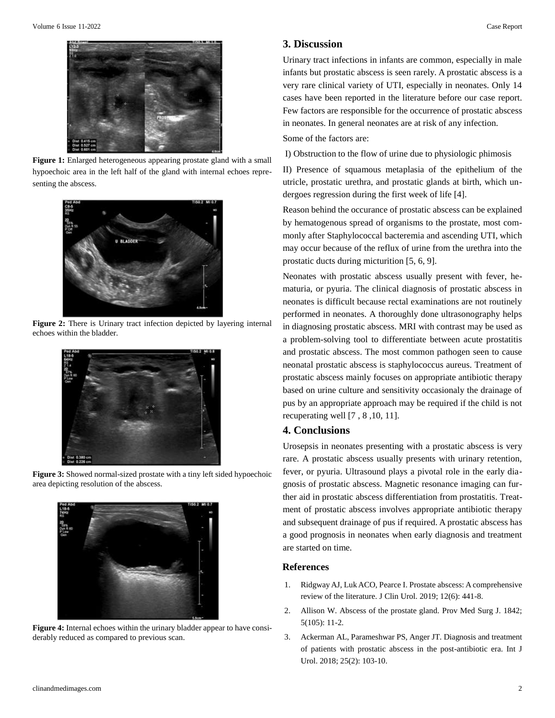

Figure 1: Enlarged heterogeneous appearing prostate gland with a small hypoechoic area in the left half of the gland with internal echoes representing the abscess.



**Figure 2:** There is Urinary tract infection depicted by layering internal echoes within the bladder.



**Figure 3:** Showed normal-sized prostate with a tiny left sided hypoechoic area depicting resolution of the abscess.



**Figure 4:** Internal echoes within the urinary bladder appear to have considerably reduced as compared to previous scan.

#### **3. Discussion**

Urinary tract infections in infants are common, especially in male infants but prostatic abscess is seen rarely. A prostatic abscess is a very rare clinical variety of UTI, especially in neonates. Only 14 cases have been reported in the literature before our case report. Few factors are responsible for the occurrence of prostatic abscess in neonates. In general neonates are at risk of any infection.

Some of the factors are:

I) Obstruction to the flow of urine due to physiologic phimosis

II) Presence of squamous metaplasia of the epithelium of the utricle, prostatic urethra, and prostatic glands at birth, which undergoes regression during the first week of life [4].

Reason behind the occurance of prostatic abscess can be explained by hematogenous spread of organisms to the prostate, most commonly after Staphylococcal bacteremia and ascending UTI, which may occur because of the reflux of urine from the urethra into the prostatic ducts during micturition [5, 6, 9].

Neonates with prostatic abscess usually present with fever, hematuria, or pyuria. The clinical diagnosis of prostatic abscess in neonates is difficult because rectal examinations are not routinely performed in neonates. A thoroughly done ultrasonography helps in diagnosing prostatic abscess. MRI with contrast may be used as a problem-solving tool to differentiate between acute prostatitis and prostatic abscess. The most common pathogen seen to cause neonatal prostatic abscess is staphylococcus aureus. Treatment of prostatic abscess mainly focuses on appropriate antibiotic therapy based on urine culture and sensitivity occasionaly the drainage of pus by an appropriate approach may be required if the child is not recuperating well [7 , 8 ,10, 11].

#### **4. Conclusions**

Urosepsis in neonates presenting with a prostatic abscess is very rare. A prostatic abscess usually presents with urinary retention, fever, or pyuria. Ultrasound plays a pivotal role in the early diagnosis of prostatic abscess. Magnetic resonance imaging can further aid in prostatic abscess differentiation from prostatitis. Treatment of prostatic abscess involves appropriate antibiotic therapy and subsequent drainage of pus if required. A prostatic abscess has a good prognosis in neonates when early diagnosis and treatment are started on time.

#### **References**

- 1. Ridgway AJ, Luk ACO, Pearce I. Prostate abscess: A [comprehensive](https://journals.sagepub.com/doi/abs/10.1177/2051415819850996?journalCode=urob) review [of the literature. J](https://journals.sagepub.com/doi/abs/10.1177/2051415819850996?journalCode=urob) Clin Urol. 2019; 12(6): 441-8.
- 2. [Allison W. Abscess of the prostate gland. Prov Med Surg J. 1842;](https://www.bmj.com/content/s1-5/105/11) [5\(105\):](https://www.bmj.com/content/s1-5/105/11) 11-2.
- 3. [Ackerman AL, Parameshwar PS, Anger JT. Diagnosis and treatment](https://pubmed.ncbi.nlm.nih.gov/28944509/) [of patients with prostatic abscess in the post-antibiotic era. Int J](https://pubmed.ncbi.nlm.nih.gov/28944509/) Urol. [2018; 25\(2\): 103-10.](https://pubmed.ncbi.nlm.nih.gov/28944509/)